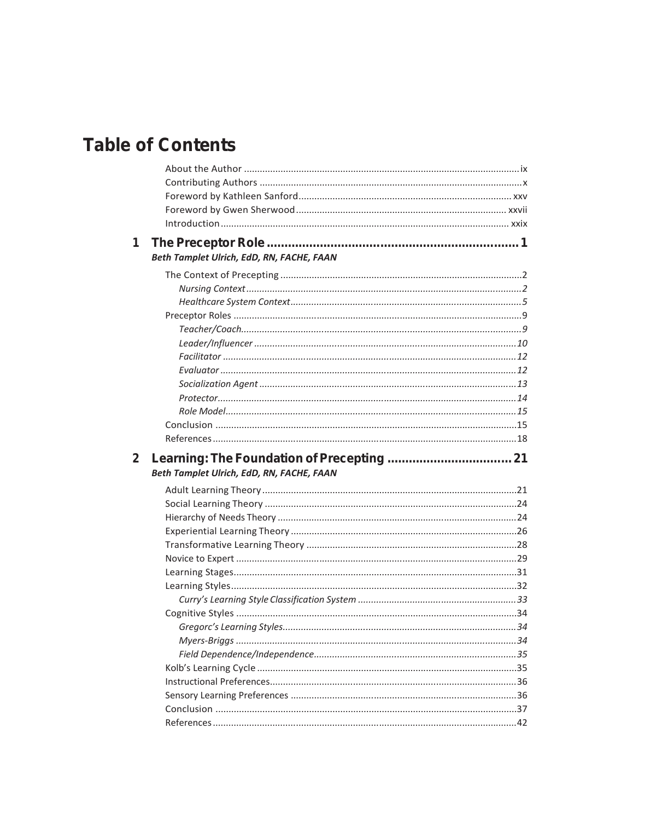## **Table of Contents**

| 1 |                                           |  |
|---|-------------------------------------------|--|
|   | Beth Tamplet Ulrich, EdD, RN, FACHE, FAAN |  |
|   |                                           |  |
|   |                                           |  |
|   |                                           |  |
|   |                                           |  |
|   |                                           |  |
|   |                                           |  |
|   |                                           |  |
|   |                                           |  |
|   |                                           |  |
|   |                                           |  |
|   |                                           |  |
|   |                                           |  |
|   |                                           |  |
|   |                                           |  |
| 2 |                                           |  |
|   |                                           |  |
|   | Beth Tamplet Ulrich, EdD, RN, FACHE, FAAN |  |
|   |                                           |  |
|   |                                           |  |
|   |                                           |  |
|   |                                           |  |
|   |                                           |  |
|   |                                           |  |
|   |                                           |  |
|   |                                           |  |
|   |                                           |  |
|   |                                           |  |
|   |                                           |  |
|   |                                           |  |
|   |                                           |  |
|   |                                           |  |
|   |                                           |  |
|   |                                           |  |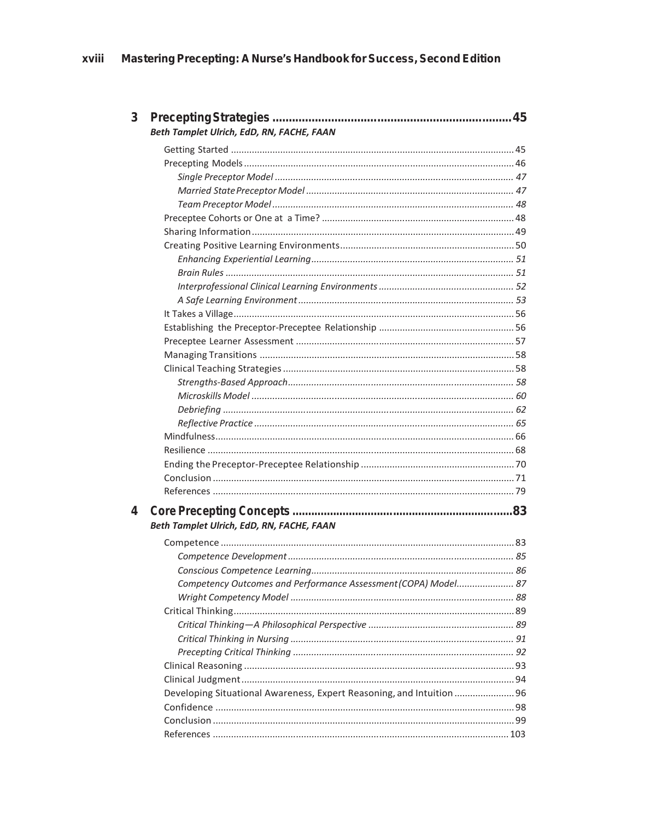| 3 |                                                                       |  |
|---|-----------------------------------------------------------------------|--|
|   | Beth Tamplet Ulrich, EdD, RN, FACHE, FAAN                             |  |
|   |                                                                       |  |
|   |                                                                       |  |
|   |                                                                       |  |
|   |                                                                       |  |
|   |                                                                       |  |
|   |                                                                       |  |
|   |                                                                       |  |
|   |                                                                       |  |
|   |                                                                       |  |
|   |                                                                       |  |
|   |                                                                       |  |
|   |                                                                       |  |
|   |                                                                       |  |
|   |                                                                       |  |
|   |                                                                       |  |
|   |                                                                       |  |
|   |                                                                       |  |
|   |                                                                       |  |
|   |                                                                       |  |
|   |                                                                       |  |
|   |                                                                       |  |
|   |                                                                       |  |
|   |                                                                       |  |
|   |                                                                       |  |
|   |                                                                       |  |
|   |                                                                       |  |
| 4 | Beth Tamplet Ulrich, EdD, RN, FACHE, FAAN                             |  |
|   |                                                                       |  |
|   |                                                                       |  |
|   |                                                                       |  |
|   | Competency Outcomes and Performance Assessment (COPA) Model 87        |  |
|   |                                                                       |  |
|   |                                                                       |  |
|   |                                                                       |  |
|   |                                                                       |  |
|   |                                                                       |  |
|   |                                                                       |  |
|   |                                                                       |  |
|   | Developing Situational Awareness, Expert Reasoning, and Intuition  96 |  |
|   |                                                                       |  |
|   |                                                                       |  |
|   |                                                                       |  |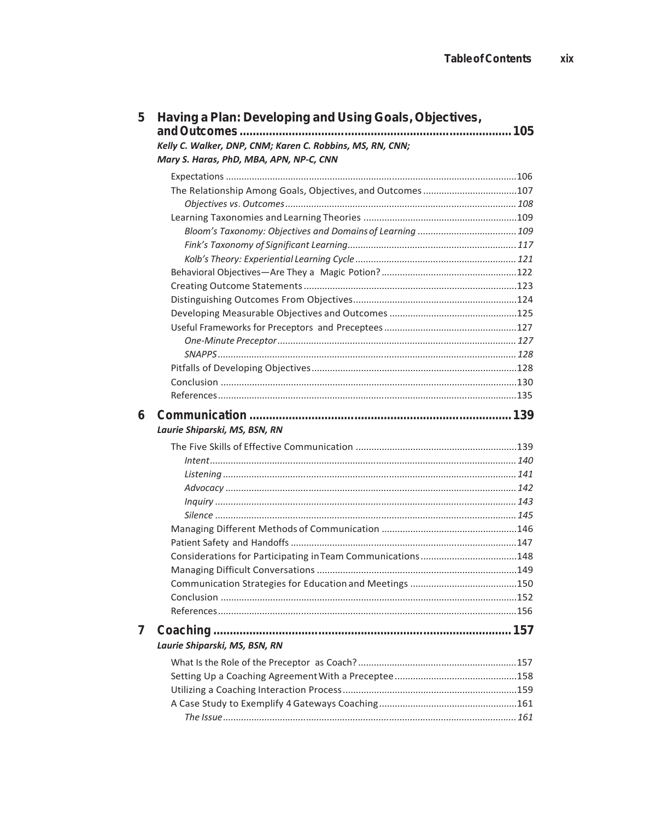| 5 | Having a Plan: Developing and Using Goals, Objectives,           |  |
|---|------------------------------------------------------------------|--|
|   | 105<br>Kelly C. Walker, DNP, CNM; Karen C. Robbins, MS, RN, CNN; |  |
|   | Mary S. Haras, PhD, MBA, APN, NP-C, CNN                          |  |
|   |                                                                  |  |
|   | The Relationship Among Goals, Objectives, and Outcomes 107       |  |
|   |                                                                  |  |
|   |                                                                  |  |
|   |                                                                  |  |
|   |                                                                  |  |
|   |                                                                  |  |
|   |                                                                  |  |
|   |                                                                  |  |
|   |                                                                  |  |
|   |                                                                  |  |
|   |                                                                  |  |
|   |                                                                  |  |
|   |                                                                  |  |
|   |                                                                  |  |
|   |                                                                  |  |
|   |                                                                  |  |
| 6 |                                                                  |  |
|   | Laurie Shiparski, MS, BSN, RN                                    |  |
|   |                                                                  |  |
|   |                                                                  |  |
|   |                                                                  |  |
|   |                                                                  |  |
|   |                                                                  |  |
|   |                                                                  |  |
|   |                                                                  |  |
|   |                                                                  |  |
|   |                                                                  |  |
|   |                                                                  |  |
|   |                                                                  |  |
|   |                                                                  |  |
|   |                                                                  |  |
| 7 |                                                                  |  |
|   | Laurie Shiparski, MS, BSN, RN                                    |  |
|   |                                                                  |  |
|   |                                                                  |  |
|   |                                                                  |  |
|   |                                                                  |  |
|   |                                                                  |  |

xix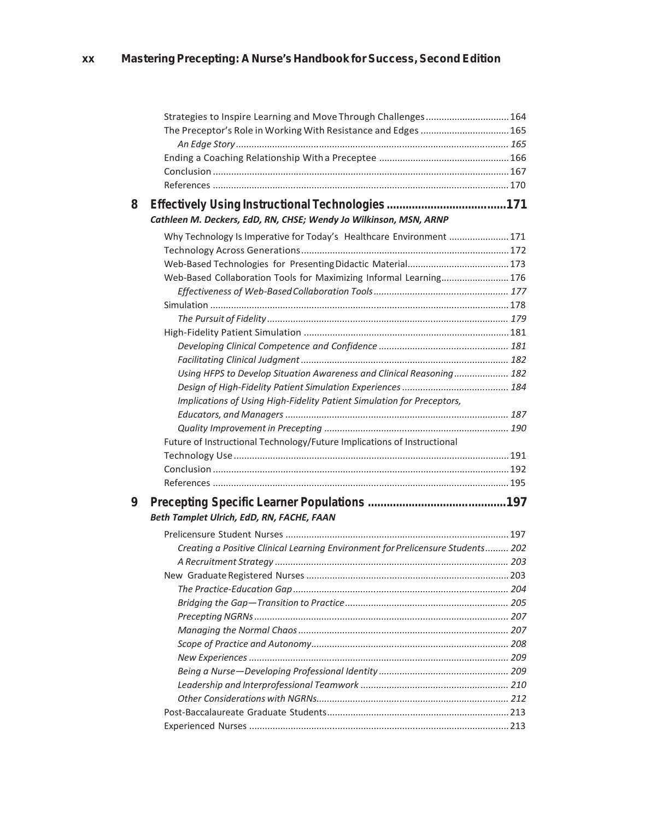|   | Strategies to Inspire Learning and Move Through Challenges 164                  |  |
|---|---------------------------------------------------------------------------------|--|
|   | The Preceptor's Role in Working With Resistance and Edges  165                  |  |
|   |                                                                                 |  |
|   |                                                                                 |  |
|   |                                                                                 |  |
|   |                                                                                 |  |
| 8 | Cathleen M. Deckers, EdD, RN, CHSE; Wendy Jo Wilkinson, MSN, ARNP               |  |
|   | Why Technology Is Imperative for Today's Healthcare Environment  171            |  |
|   |                                                                                 |  |
|   |                                                                                 |  |
|   | Web-Based Collaboration Tools for Maximizing Informal Learning 176              |  |
|   |                                                                                 |  |
|   |                                                                                 |  |
|   |                                                                                 |  |
|   |                                                                                 |  |
|   |                                                                                 |  |
|   |                                                                                 |  |
|   | Using HFPS to Develop Situation Awareness and Clinical Reasoning 182            |  |
|   |                                                                                 |  |
|   | Implications of Using High-Fidelity Patient Simulation for Preceptors,          |  |
|   |                                                                                 |  |
|   |                                                                                 |  |
|   | Future of Instructional Technology/Future Implications of Instructional         |  |
|   |                                                                                 |  |
|   |                                                                                 |  |
|   |                                                                                 |  |
| 9 | Beth Tamplet Ulrich, EdD, RN, FACHE, FAAN                                       |  |
|   |                                                                                 |  |
|   | Creating a Positive Clinical Learning Environment for Prelicensure Students 202 |  |
|   |                                                                                 |  |
|   |                                                                                 |  |
|   |                                                                                 |  |
|   |                                                                                 |  |
|   |                                                                                 |  |
|   |                                                                                 |  |
|   |                                                                                 |  |
|   |                                                                                 |  |
|   |                                                                                 |  |
|   |                                                                                 |  |
|   |                                                                                 |  |
|   |                                                                                 |  |
|   |                                                                                 |  |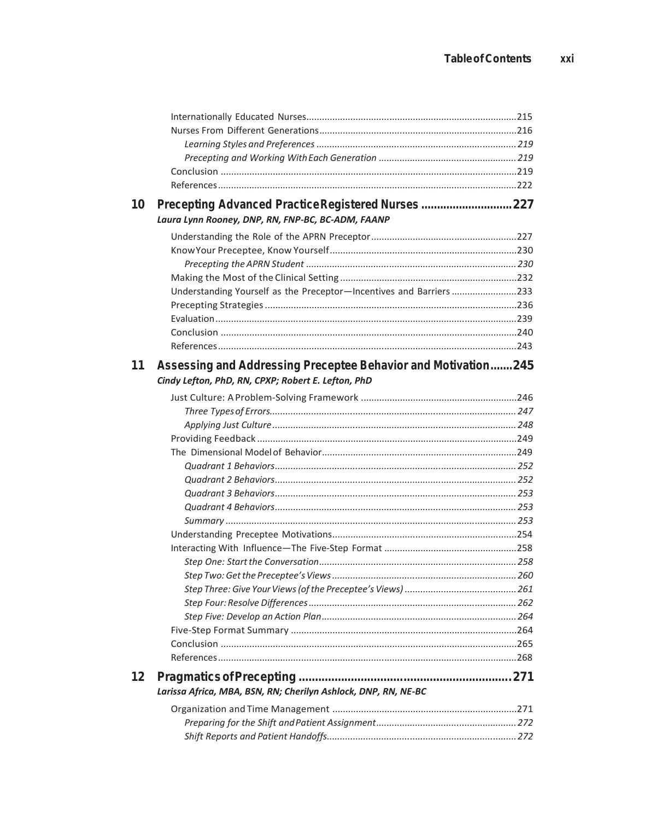| 10 | Precepting Advanced Practice Registered Nurses 227                 |  |
|----|--------------------------------------------------------------------|--|
|    | Laura Lynn Rooney, DNP, RN, FNP-BC, BC-ADM, FAANP                  |  |
|    |                                                                    |  |
|    |                                                                    |  |
|    |                                                                    |  |
|    |                                                                    |  |
|    | Understanding Yourself as the Preceptor-Incentives and Barriers233 |  |
|    |                                                                    |  |
|    |                                                                    |  |
|    |                                                                    |  |
|    |                                                                    |  |
| 11 | Assessing and Addressing Preceptee Behavior and Motivation245      |  |
|    | Cindy Lefton, PhD, RN, CPXP; Robert E. Lefton, PhD                 |  |
|    |                                                                    |  |
|    |                                                                    |  |
|    |                                                                    |  |
|    |                                                                    |  |
|    |                                                                    |  |
|    |                                                                    |  |
|    |                                                                    |  |
|    |                                                                    |  |
|    |                                                                    |  |
|    |                                                                    |  |
|    |                                                                    |  |
|    |                                                                    |  |
|    |                                                                    |  |
|    |                                                                    |  |
|    |                                                                    |  |
|    |                                                                    |  |
|    |                                                                    |  |
|    |                                                                    |  |
|    |                                                                    |  |
|    |                                                                    |  |
| 12 | Larissa Africa, MBA, BSN, RN; Cherilyn Ashlock, DNP, RN, NE-BC     |  |
|    |                                                                    |  |
|    |                                                                    |  |
|    |                                                                    |  |
|    |                                                                    |  |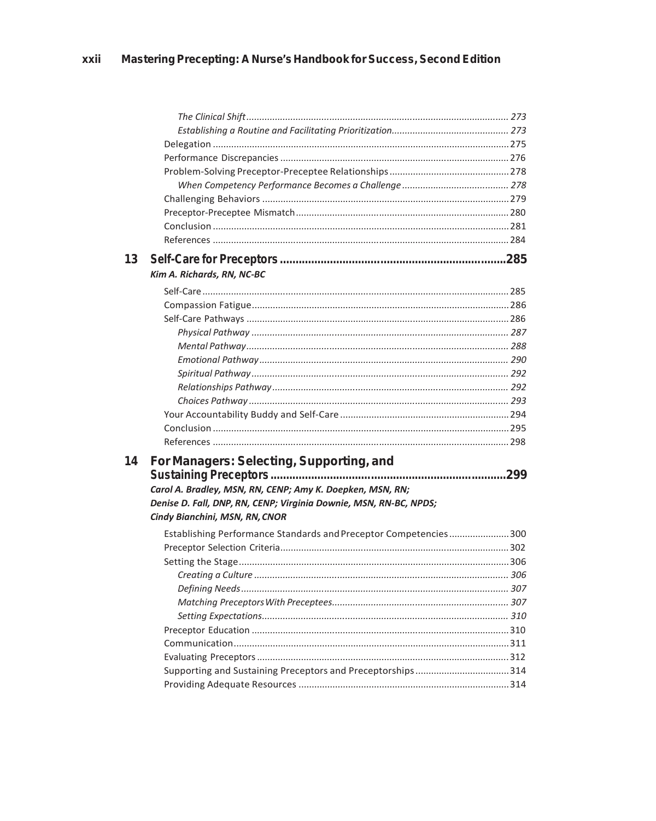| 13 |                                                                   |  |
|----|-------------------------------------------------------------------|--|
|    | Kim A. Richards, RN, NC-BC                                        |  |
|    |                                                                   |  |
|    |                                                                   |  |
|    |                                                                   |  |
|    |                                                                   |  |
|    |                                                                   |  |
|    |                                                                   |  |
|    |                                                                   |  |
|    |                                                                   |  |
|    |                                                                   |  |
|    |                                                                   |  |
|    |                                                                   |  |
|    |                                                                   |  |
| 14 | For Managers: Selecting, Supporting, and                          |  |
|    |                                                                   |  |
|    | Carol A. Bradley, MSN, RN, CENP; Amy K. Doepken, MSN, RN;         |  |
|    | Denise D. Fall, DNP, RN, CENP; Virginia Downie, MSN, RN-BC, NPDS; |  |
|    | Cindy Bianchini, MSN, RN, CNOR                                    |  |
|    | Establishing Performance Standards and Preceptor Competencies300  |  |
|    |                                                                   |  |
|    |                                                                   |  |
|    |                                                                   |  |
|    |                                                                   |  |
|    |                                                                   |  |
|    |                                                                   |  |
|    |                                                                   |  |
|    |                                                                   |  |
|    |                                                                   |  |
|    |                                                                   |  |
|    |                                                                   |  |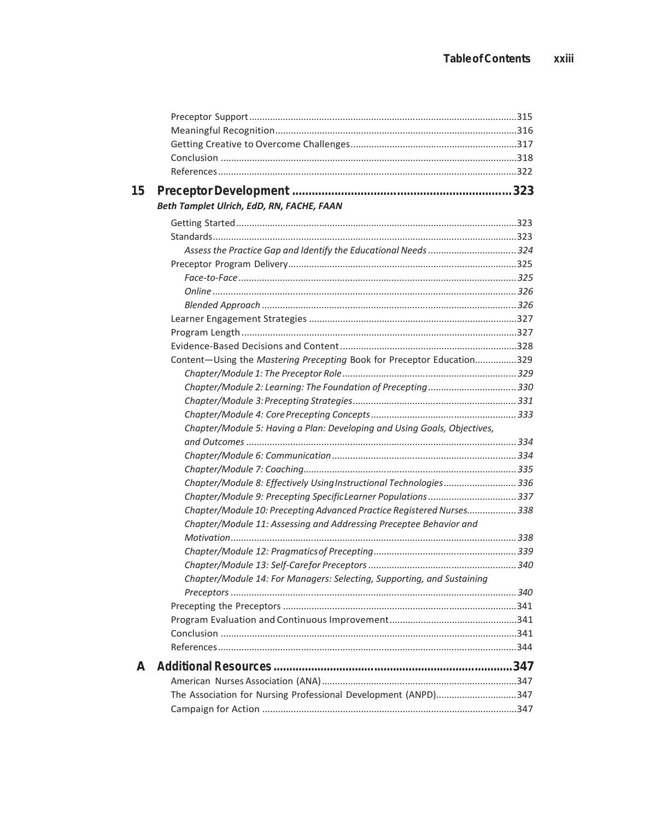| Beth Tamplet Ulrich, EdD, RN, FACHE, FAAN                                |  |
|--------------------------------------------------------------------------|--|
|                                                                          |  |
|                                                                          |  |
|                                                                          |  |
|                                                                          |  |
|                                                                          |  |
|                                                                          |  |
|                                                                          |  |
|                                                                          |  |
|                                                                          |  |
|                                                                          |  |
| Content-Using the Mastering Precepting Book for Preceptor Education329   |  |
|                                                                          |  |
| Chapter/Module 2: Learning: The Foundation of Precepting330              |  |
|                                                                          |  |
|                                                                          |  |
| Chapter/Module 5: Having a Plan: Developing and Using Goals, Objectives, |  |
|                                                                          |  |
|                                                                          |  |
| Chapter/Module 8: Effectively Using Instructional Technologies 336       |  |
| Chapter/Module 9: Precepting Specific Learner Populations 337            |  |
| Chapter/Module 10: Precepting Advanced Practice Registered Nurses 338    |  |
| Chapter/Module 11: Assessing and Addressing Preceptee Behavior and       |  |
|                                                                          |  |
|                                                                          |  |
|                                                                          |  |
| Chapter/Module 14: For Managers: Selecting, Supporting, and Sustaining   |  |
|                                                                          |  |
|                                                                          |  |
|                                                                          |  |
|                                                                          |  |
|                                                                          |  |
|                                                                          |  |
| The Association for Nursing Professional Development (ANPD)347           |  |
|                                                                          |  |
|                                                                          |  |